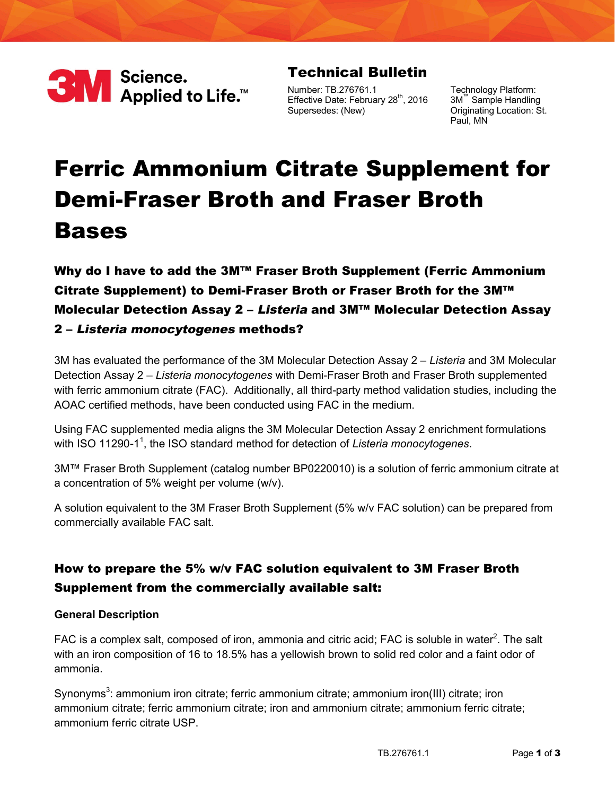

## **Technical Bulletin**

Number: TB.276761.1 Effective Date: February 28<sup>th</sup>, 2016 Supersedes: (New)

Technology Platform: 3M™ Sample Handling Originating Location: St. Paul, MN

# **Ferric Ammonium Citrate Supplement for Demi-Fraser Broth and Fraser Broth Bases**

## **Why do I have to add the 3M™ Fraser Broth Supplement (Ferric Ammonium Citrate Supplement) to Demi-Fraser Broth or Fraser Broth for the 3M™ Molecular Detection Assay 2 – Listeria and 3M™ Molecular Detection Assay 2 – Listeria monocytogenes methods?**

3M has evaluated the performance of the 3M Molecular Detection Assay 2 – *Listeria* and 3M Molecular Detection Assay 2 – *Listeria monocytogenes* with Demi-Fraser Broth and Fraser Broth supplemented with ferric ammonium citrate (FAC). Additionally, all third-party method validation studies, including the AOAC certified methods, have been conducted using FAC in the medium.

Using FAC supplemented media aligns the 3M Molecular Detection Assay 2 enrichment formulations with ISO 11290-1<sup>1</sup>, the ISO standard method for detection of Listeria monocytogenes.

3M™ Fraser Broth Supplement (catalog number BP0220010) is a solution of ferric ammonium citrate at a concentration of 5% weight per volume (w/v).

A solution equivalent to the 3M Fraser Broth Supplement (5% w/v FAC solution) can be prepared from commercially available FAC salt.

## **How to prepare the 5% w/v FAC solution equivalent to 3M Fraser Broth Supplement from the commercially available salt:**

#### **General Description**

FAC is a complex salt, composed of iron, ammonia and citric acid; FAC is soluble in water<sup>2</sup>. The salt with an iron composition of 16 to 18.5% has a yellowish brown to solid red color and a faint odor of ammonia.

Synonyms<sup>3</sup>: ammonium iron citrate; ferric ammonium citrate; ammonium iron(III) citrate; iron ammonium citrate; ferric ammonium citrate; iron and ammonium citrate; ammonium ferric citrate; ammonium ferric citrate USP.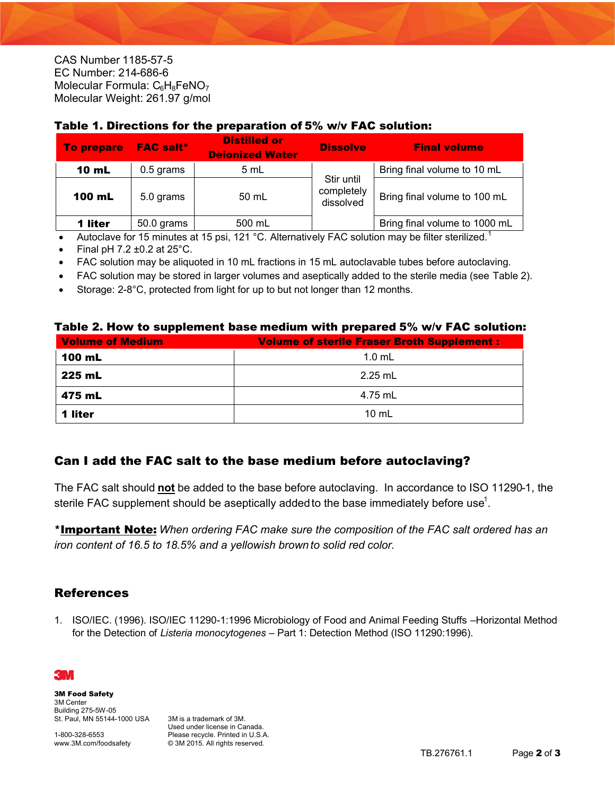CAS Number [1185-57-5](http://www.sigmaaldrich.com/catalog/search?term=1185-57-5&interface=CAS%20No.&N=0&mode=partialmax&lang=en®ion=US&focus=product) EC Number: 214-686-6 Molecular Formula:  $C_6H_8FeNO_7$ Molecular Weight: 261.97 g/mol

| <b>To prepare</b> | <b>FAC salt*</b> | <b>Distilled or</b><br><b>Deionized Water</b> | <b>Dissolve</b>                       | <b>Final volume</b>           |
|-------------------|------------------|-----------------------------------------------|---------------------------------------|-------------------------------|
| <b>10 mL</b>      | $0.5$ grams      | 5 mL                                          |                                       | Bring final volume to 10 mL   |
| 100 mL            | 5.0 grams        | 50 mL                                         | Stir until<br>completely<br>dissolved | Bring final volume to 100 mL  |
| 1 liter           | 50.0 grams       | 500 mL                                        |                                       | Bring final volume to 1000 mL |

#### **Table 1. Directions for the preparation of 5% w/v FAC solution:**

• Autoclave for 15 minutes at 15 psi, 121  $^{\circ}$ C. Alternatively FAC solution may be filter sterilized.<sup>1</sup>

- Final pH 7.2  $\pm$ 0.2 at 25 $^{\circ}$ C.
- FAC solution may be aliquoted in 10 mL fractions in 15 mL autoclavable tubes before autoclaving.
- FAC solution may be stored in larger volumes and aseptically added to the sterile media (see Table 2).
- Storage: 2-8°C, protected from light for up to but not longer than 12 months.

#### **Table 2. How to supplement base medium with prepared 5% w/v FAC solution:**

| <b>Volume of Medium</b> | <b>Volume of sterile Fraser Broth Supplement:</b> |  |  |
|-------------------------|---------------------------------------------------|--|--|
| 100 mL                  | $1.0 \text{ mL}$                                  |  |  |
| 225 mL                  | $2.25$ mL                                         |  |  |
| 475 mL                  | 4.75 mL                                           |  |  |
| 1 liter                 | $10 \text{ mL}$                                   |  |  |

#### **Can I add the FAC salt to the base medium before autoclaving?**

The FAC salt should **not** be added to the base before autoclaving. In accordance to ISO 11290-1, the sterile FAC supplement should be aseptically added to the base immediately before use<sup>1</sup>.

**\*Important Note:** *When ordering FAC make sure the composition of the FAC salt ordered has an iron content of 16.5 to 18.5% and a yellowish brown to solid red color.*

### **References**

1. ISO/IEC. (1996). ISO/IEC 11290-1:1996 Microbiology of Food and Animal Feeding Stuffs –Horizontal Method for the Detection of *Listeria monocytogenes* – Part 1: Detection Method (ISO 11290:1996).



**3M Food Safety** 3M Center Building 275-5W-05 St. Paul, MN 55144-1000 USA

1-800-328-6553 www.3M.com/foodsafety

3M is a trademark of 3M. Used under license in Canada. Please recycle. Printed in U.S.A. © 3M 2015. All rights reserved.